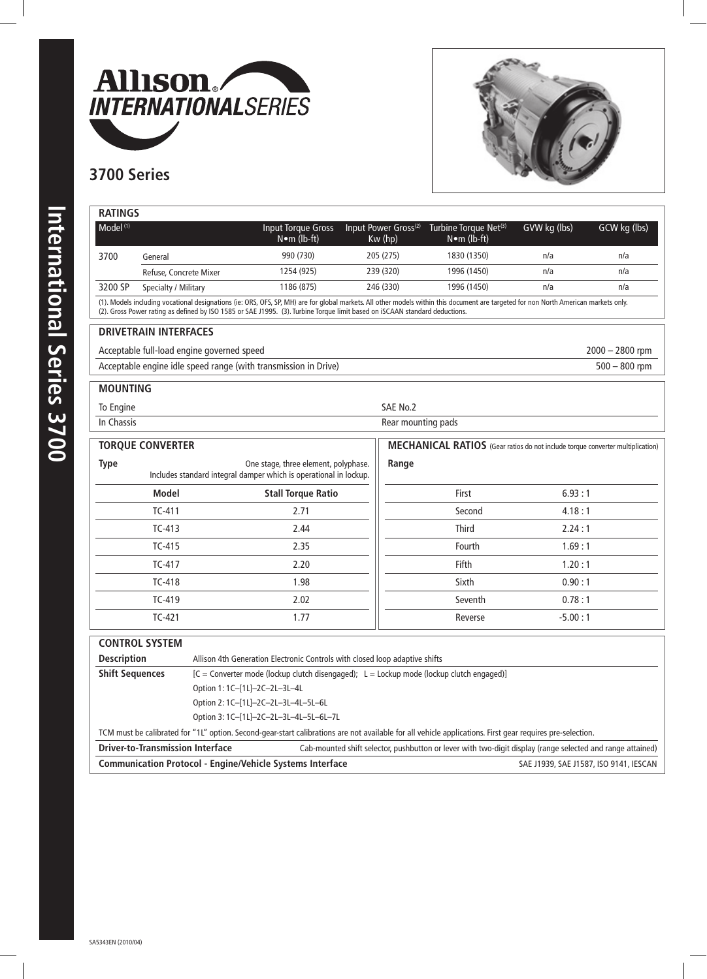



## **3700 Series**

| <b>RATINGS</b>                                                                                                                                                                                                                                                                                                      |                                                                                              |  |                                                                             |           |                                             |                                                            |              |              |
|---------------------------------------------------------------------------------------------------------------------------------------------------------------------------------------------------------------------------------------------------------------------------------------------------------------------|----------------------------------------------------------------------------------------------|--|-----------------------------------------------------------------------------|-----------|---------------------------------------------|------------------------------------------------------------|--------------|--------------|
| Model <sup>(1)</sup>                                                                                                                                                                                                                                                                                                |                                                                                              |  | <b>Input Torque Gross</b><br>$N \bullet m$ (lb-ft)                          |           | Input Power Gross <sup>(2)</sup><br>Kw (hp) | Turbine Torque Net <sup>(3)</sup><br>$N \bullet m$ (lb-ft) | GVW kg (lbs) | GCW kg (lbs) |
| 3700                                                                                                                                                                                                                                                                                                                | General                                                                                      |  | 990 (730)                                                                   | 205 (275) |                                             | 1830 (1350)                                                | n/a          | n/a          |
|                                                                                                                                                                                                                                                                                                                     | Refuse, Concrete Mixer                                                                       |  | 1254 (925)                                                                  | 239 (320) |                                             | 1996 (1450)                                                | n/a          | n/a          |
| 3200 SP                                                                                                                                                                                                                                                                                                             | Specialty / Military                                                                         |  | 1186 (875)                                                                  |           | 246 (330)                                   | 1996 (1450)                                                | n/a          | n/a          |
| (1). Models including vocational designations (ie: ORS, OFS, SP, MH) are for global markets. All other models within this document are targeted for non North American markets only.<br>(2). Gross Power rating as defined by ISO 1585 or SAE J1995. (3). Turbine Torque limit based on iSCAAN standard deductions. |                                                                                              |  |                                                                             |           |                                             |                                                            |              |              |
| <b>DRIVETRAIN INTERFACES</b>                                                                                                                                                                                                                                                                                        |                                                                                              |  |                                                                             |           |                                             |                                                            |              |              |
|                                                                                                                                                                                                                                                                                                                     | Acceptable full-load engine governed speed<br>$2000 - 2800$ rpm                              |  |                                                                             |           |                                             |                                                            |              |              |
| Acceptable engine idle speed range (with transmission in Drive)<br>$500 - 800$ rpm                                                                                                                                                                                                                                  |                                                                                              |  |                                                                             |           |                                             |                                                            |              |              |
| <b>MOUNTING</b>                                                                                                                                                                                                                                                                                                     |                                                                                              |  |                                                                             |           |                                             |                                                            |              |              |
| SAE No.2<br>To Engine                                                                                                                                                                                                                                                                                               |                                                                                              |  |                                                                             |           |                                             |                                                            |              |              |
| In Chassis                                                                                                                                                                                                                                                                                                          | Rear mounting pads                                                                           |  |                                                                             |           |                                             |                                                            |              |              |
| <b>TORQUE CONVERTER</b><br>MECHANICAL RATIOS (Gear ratios do not include torque converter multiplication)                                                                                                                                                                                                           |                                                                                              |  |                                                                             |           |                                             |                                                            |              |              |
| <b>Type</b><br>One stage, three element, polyphase.<br>Range<br>Includes standard integral damper which is operational in lockup.                                                                                                                                                                                   |                                                                                              |  |                                                                             |           |                                             |                                                            |              |              |
|                                                                                                                                                                                                                                                                                                                     | <b>Model</b>                                                                                 |  | <b>Stall Torque Ratio</b>                                                   |           |                                             | First                                                      | 6.93:1       |              |
|                                                                                                                                                                                                                                                                                                                     | $TC-411$                                                                                     |  | 2.71                                                                        |           |                                             | Second                                                     | 4.18:1       |              |
|                                                                                                                                                                                                                                                                                                                     | $TC-413$                                                                                     |  | 2.44                                                                        |           |                                             | <b>Third</b>                                               | 2.24:1       |              |
|                                                                                                                                                                                                                                                                                                                     | $TC-415$                                                                                     |  | 2.35                                                                        |           |                                             | Fourth                                                     | 1.69:1       |              |
|                                                                                                                                                                                                                                                                                                                     | TC-417                                                                                       |  | 2.20                                                                        |           |                                             | Fifth                                                      | 1.20:1       |              |
|                                                                                                                                                                                                                                                                                                                     | <b>TC-418</b>                                                                                |  | 1.98                                                                        |           |                                             | Sixth                                                      | 0.90:1       |              |
|                                                                                                                                                                                                                                                                                                                     | TC-419                                                                                       |  | 2.02                                                                        |           |                                             | Seventh                                                    | 0.78:1       |              |
|                                                                                                                                                                                                                                                                                                                     | TC-421                                                                                       |  | 1.77                                                                        |           |                                             | Reverse                                                    | $-5.00:1$    |              |
|                                                                                                                                                                                                                                                                                                                     | <b>CONTROL SYSTEM</b>                                                                        |  |                                                                             |           |                                             |                                                            |              |              |
| <b>Description</b>                                                                                                                                                                                                                                                                                                  |                                                                                              |  | Allison 4th Generation Electronic Controls with closed loop adaptive shifts |           |                                             |                                                            |              |              |
| <b>Shift Sequences</b>                                                                                                                                                                                                                                                                                              | $[C =$ Converter mode (lockup clutch disengaged); $L =$ Lockup mode (lockup clutch engaged)] |  |                                                                             |           |                                             |                                                            |              |              |
|                                                                                                                                                                                                                                                                                                                     | Option 1: 1C-[1L]-2C-2L-3L-4L                                                                |  |                                                                             |           |                                             |                                                            |              |              |
| Option 2: 1C-[1L]-2C-2L-3L-4L-5L-6L                                                                                                                                                                                                                                                                                 |                                                                                              |  |                                                                             |           |                                             |                                                            |              |              |
|                                                                                                                                                                                                                                                                                                                     | Option 3: 1C-[1L]-2C-2L-3L-4L-5L-6L-7L                                                       |  |                                                                             |           |                                             |                                                            |              |              |
| TCM must be calibrated for "1L" option. Second-gear-start calibrations are not available for all vehicle applications. First gear requires pre-selection.                                                                                                                                                           |                                                                                              |  |                                                                             |           |                                             |                                                            |              |              |
| <b>Driver-to-Transmission Interface</b><br>Cab-mounted shift selector, pushbutton or lever with two-digit display (range selected and range attained)                                                                                                                                                               |                                                                                              |  |                                                                             |           |                                             |                                                            |              |              |
| <b>Communication Protocol - Engine/Vehicle Systems Interface</b><br>SAE J1939, SAE J1587, ISO 9141, IESCAN                                                                                                                                                                                                          |                                                                                              |  |                                                                             |           |                                             |                                                            |              |              |